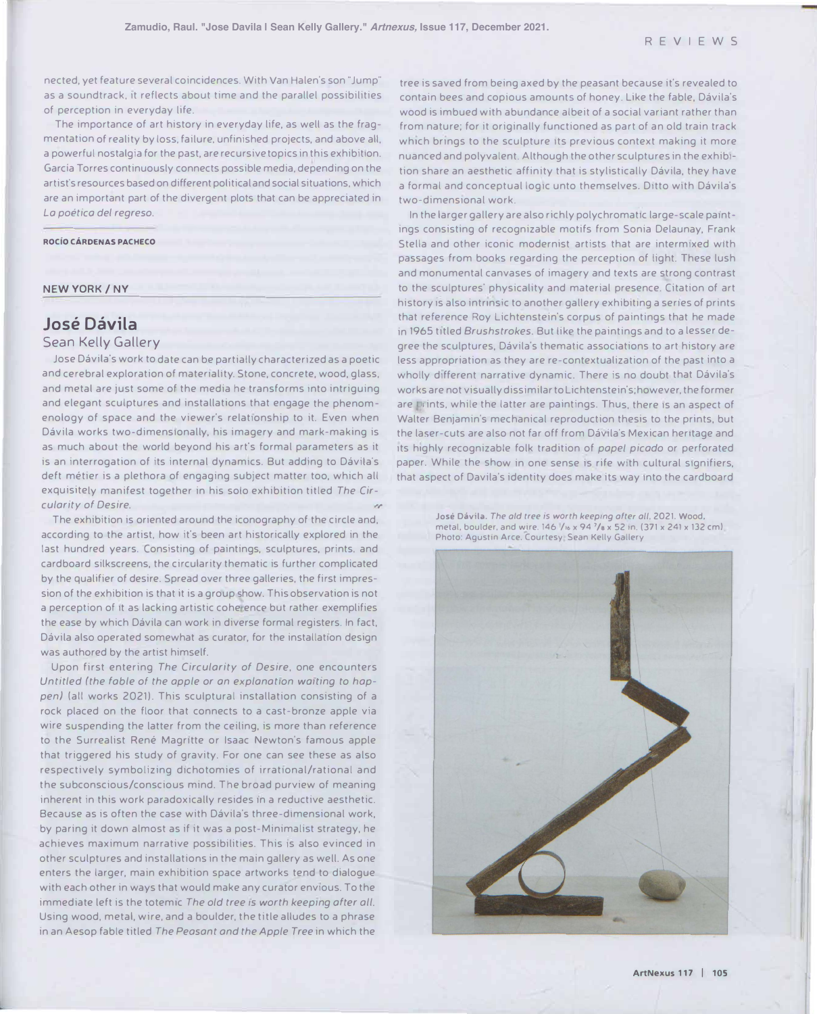nected, yet feature several coincidences. With Van Halen's son "Jump" as a soundtrack, It reflects about time and the parallel possibilities of perception in everyday life.

The importance of art history in everyday life, as well as the fragmentation of reality by loss, failure, unfinished projects, and above all, a powerful nostalgia for the past, are recursive topics in this exhibition. Garcia Torres continuously connects possible media, depending on the artist's resources based on different political and social situations, which are an important part of the divergent plots that can be appreciated in *Lo poetico de/ regreso.* 

#### **ROCIO CARDENAS PACHECO**

#### **NEW YORK/ NY**

# **Jose Davila**

### Sean Kelly Gallery

Jose Dávila's work to date can be partially characterized as a poetic and cerebral exploration of materiality. Stone, concrete, wood, glass, and metal are just some of the media he transforms into intriguing and elegant sculptures and installations that engage the phenomenology of space and the viewer's relationship to it. Even when Dávila works two-dimensionally, his imagery and mark-making is as much about the world beyond his art's formal parameters as it is an interrogation of its internal dynamics. But adding to Dávila's deft métier is a plethora of engaging subject matter too, which all exquisitely manifest together in his solo exhibition titled *The Cir*cularity of Desire.

The exhibition is oriented around the iconography of the circle and, according to the artist, how it's been art historically explored in the last hundred years. Consisting of paintings, sculptures, prints, and cardboard silkscreens, the circularity thematic is further complicated by the qualifier of desire. Spread over three galleries, the first impression of the exhibition is that it is a group show. This observation is not a perception of it as lacking artistic cohe ence but rather exemplifies the ease by which Dávila can work in diverse formal registers. In fact, Dávila also operated somewhat as curator, for the installation design was authored by the artist himself.

Upon first entering *The Circularity of Desire,* one encounters Untitled (the fable of the apple or an explanation waiting to hap*pen)* (all works 2021). This sculptural installation consisting of a rock placed on the floor that connects to a cast-bronze apple via wire suspending the latter from the ceiling, is more than reference to the Surrealist René Magritte or Isaac Newton's famous apple that triggered his study of gravity. For one can see these as also respectively symbolizing dichotomies of irrational/rational and the subconscious/conscious mind. The broad purview of meaning inherent in this work paradoxically resides in a reductive aesthetic. Because as is often the case with Dávila's three-dimensional work, by paring it down almost as if it was a post-Minimalist strategy, he achieves maximum narrative possibilities. This is also evinced in other sculptures and installations in the main gallery as well. As one enters the larger, main exhibition space artworks tend to dialogue with each other in ways that would make any curator envious. To the immediate left is the totemic *The old tree is worth keeping ofter all.* Using wood, metal, wire, and a boulder, the title alludes to a phrase in an Aesop fable titled *The Peasant and the Apple Tree* in which the

tree is saved from being axed by the peasant because it's revealed to contain bees and copious amounts of honey. Like the fable, Dávila's wood is imbued with abundance albeit of a social variant rather than from nature; for it originally functioned as part of an old train track which brings to the sculpture its previous context making it more nuanced and polyvalent. Although the other sculptures in the exhibition share an aesthetic affinity that is stylistically Dávila, they have a formal and conceptual logic unto themselves. Ditto with Dávila's two-dimensional work.

In the larger gallery are also richly polychromatic large-scale paintings consisting of recognizable motifs from Sonia Delaunay, Frank Stella and other iconic modernist artists that are intermixed with passages from books regarding the perception of light. These lush and monumental canvases of imagery and texts are strong contrast to the sculptures' physicality and material presence. Citation of art history is also intrinsic to another gallery exhibiting a series of prints that reference Roy Lichtenstein's corpus of paintings that he made in 1965 titled *Brushstrokes.* But like the paintings and to a lesser degree the sculptures. Dávila's thematic associations to art history are less appropriation as they are re-contextualization of the past into a wholly different narrative dynamic. There is no doubt that Dávila's works are not visually dissimilar to Lichtenstein's; however, the former are Prints, while the latter are paintings. Thus, there is an aspect of Walter Benjamin's mechanical reproduction thesis to the prints, but the laser-cuts are also not far off from Dávila's Mexican heritage and its highly recognizable folk tradition of *pope/ picodo* or perforated paper. While the show in one sense is rife with cultural signifiers, that aspect of Davila's identity does make its way into the cardboard

**Jose Davila.** *The old tree is worth keeping ofter oil.* 2021. Wood, metal, boulder, and wire. 146 /16 x 94 <sup>7</sup>/8 x 52 in. (371 x 241 x 132 cm). Photo: Agustin Arce. Courtesy Sean Kelly Gallery